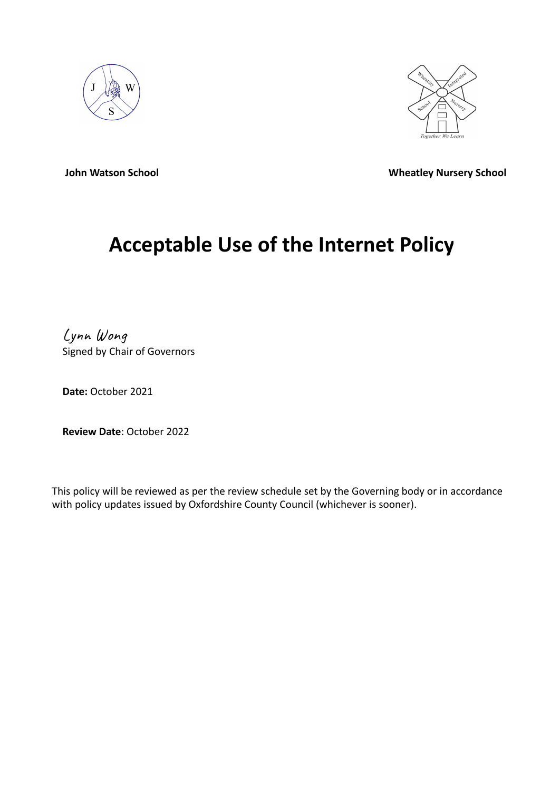



**John Watson School Wheatley Nursery School** 

# **Acceptable Use of the Internet Policy**

Lynn Wong Signed by Chair of Governors

**Date:** October 2021

**Review Date**: October 2022

This policy will be reviewed as per the review schedule set by the Governing body or in accordance with policy updates issued by Oxfordshire County Council (whichever is sooner).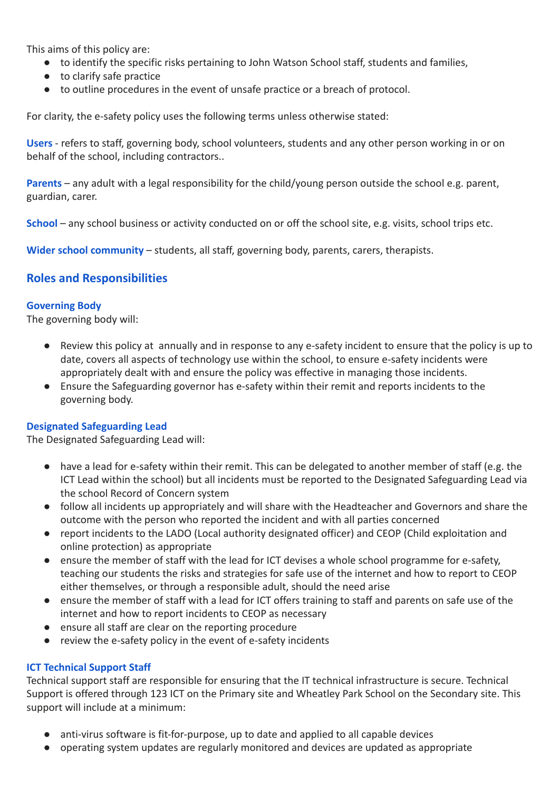This aims of this policy are:

- to identify the specific risks pertaining to John Watson School staff, students and families,
- to clarify safe practice
- to outline procedures in the event of unsafe practice or a breach of protocol.

For clarity, the e-safety policy uses the following terms unless otherwise stated:

**Users** - refers to staff, governing body, school volunteers, students and any other person working in or on behalf of the school, including contractors..

**Parents** – any adult with a legal responsibility for the child/young person outside the school e.g. parent, guardian, carer.

**School** – any school business or activity conducted on or off the school site, e.g. visits, school trips etc.

**Wider school community** – students, all staff, governing body, parents, carers, therapists.

### **Roles and Responsibilities**

#### **Governing Body**

The governing body will:

- Review this policy at annually and in response to any e-safety incident to ensure that the policy is up to date, covers all aspects of technology use within the school, to ensure e-safety incidents were appropriately dealt with and ensure the policy was effective in managing those incidents.
- Ensure the Safeguarding governor has e-safety within their remit and reports incidents to the governing body.

#### **Designated Safeguarding Lead**

The Designated Safeguarding Lead will:

- have a lead for e-safety within their remit. This can be delegated to another member of staff (e.g. the ICT Lead within the school) but all incidents must be reported to the Designated Safeguarding Lead via the school Record of Concern system
- follow all incidents up appropriately and will share with the Headteacher and Governors and share the outcome with the person who reported the incident and with all parties concerned
- report incidents to the LADO (Local authority designated officer) and CEOP (Child exploitation and online protection) as appropriate
- ensure the member of staff with the lead for ICT devises a whole school programme for e-safety, teaching our students the risks and strategies for safe use of the internet and how to report to CEOP either themselves, or through a responsible adult, should the need arise
- ensure the member of staff with a lead for ICT offers training to staff and parents on safe use of the internet and how to report incidents to CEOP as necessary
- ensure all staff are clear on the reporting procedure
- review the e-safety policy in the event of e-safety incidents

#### **ICT Technical Support Staff**

Technical support staff are responsible for ensuring that the IT technical infrastructure is secure. Technical Support is offered through 123 ICT on the Primary site and Wheatley Park School on the Secondary site. This support will include at a minimum:

- anti-virus software is fit-for-purpose, up to date and applied to all capable devices
- operating system updates are regularly monitored and devices are updated as appropriate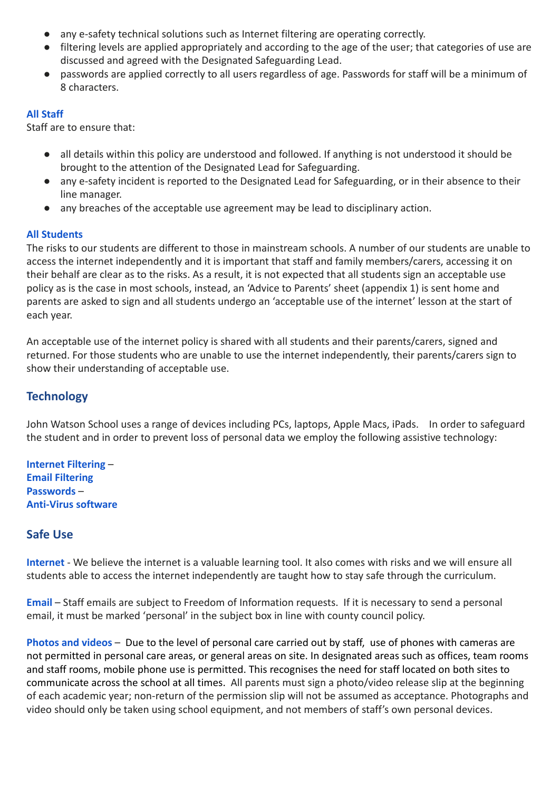- any e-safety technical solutions such as Internet filtering are operating correctly.
- filtering levels are applied appropriately and according to the age of the user; that categories of use are discussed and agreed with the Designated Safeguarding Lead.
- passwords are applied correctly to all users regardless of age. Passwords for staff will be a minimum of 8 characters.

#### **All Staff**

Staff are to ensure that:

- all details within this policy are understood and followed. If anything is not understood it should be brought to the attention of the Designated Lead for Safeguarding.
- any e-safety incident is reported to the Designated Lead for Safeguarding, or in their absence to their line manager.
- any breaches of the acceptable use agreement may be lead to disciplinary action.

#### **All Students**

The risks to our students are different to those in mainstream schools. A number of our students are unable to access the internet independently and it is important that staff and family members/carers, accessing it on their behalf are clear as to the risks. As a result, it is not expected that all students sign an acceptable use policy as is the case in most schools, instead, an 'Advice to Parents' sheet (appendix 1) is sent home and parents are asked to sign and all students undergo an 'acceptable use of the internet' lesson at the start of each year.

An acceptable use of the internet policy is shared with all students and their parents/carers, signed and returned. For those students who are unable to use the internet independently, their parents/carers sign to show their understanding of acceptable use.

#### **Technology**

John Watson School uses a range of devices including PCs, laptops, Apple Macs, iPads. In order to safeguard the student and in order to prevent loss of personal data we employ the following assistive technology:

**Internet Filtering** – **Email Filtering Passwords** – **Anti-Virus software**

#### **Safe Use**

**Internet** - We believe the internet is a valuable learning tool. It also comes with risks and we will ensure all students able to access the internet independently are taught how to stay safe through the curriculum.

**Email** – Staff emails are subject to Freedom of Information requests. If it is necessary to send a personal [em](mailto:john09@safeict.lincs.sch.uk)ail, it must be marked 'personal' in the subject box in line with county council policy.

**Photos and videos** – Due to the level of personal care carried out by staff, use of phones with cameras are not permitted in personal care areas, or general areas on site. In designated areas such as offices, team rooms and staff rooms, mobile phone use is permitted. This recognises the need for staff located on both sites to communicate across the school at all times. All parents must sign a photo/video release slip at the beginning of each academic year; non-return of the permission slip will not be assumed as acceptance. Photographs and video should only be taken using school equipment, and not members of staff's own personal devices.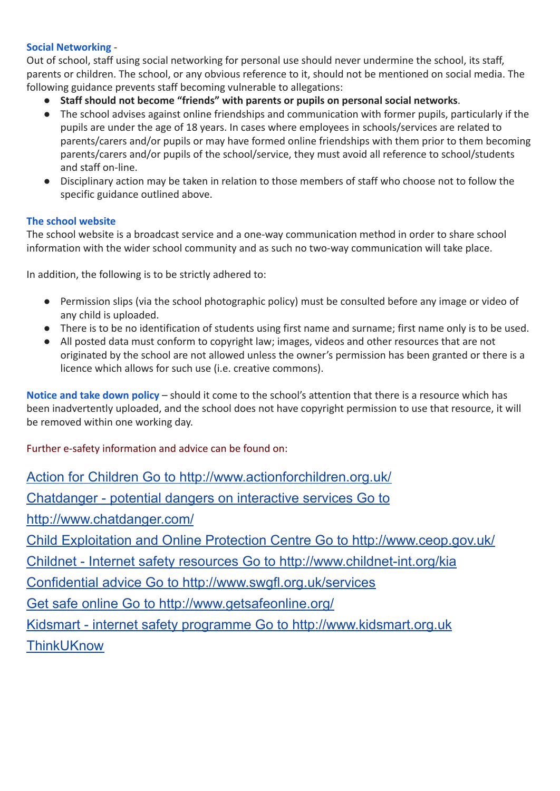#### **Social Networking** -

Out of school, staff using social networking for personal use should never undermine the school, its staff, parents or children. The school, or any obvious reference to it, should not be mentioned on social media. The following guidance prevents staff becoming vulnerable to allegations:

- **Staff should not become "friends" with parents or pupils on personal social networks**.
- The school advises against online friendships and communication with former pupils, particularly if the pupils are under the age of 18 years. In cases where employees in schools/services are related to parents/carers and/or pupils or may have formed online friendships with them prior to them becoming parents/carers and/or pupils of the school/service, they must avoid all reference to school/students and staff on-line.
- Disciplinary action may be taken in relation to those members of staff who choose not to follow the specific guidance outlined above.

#### **The school website**

The school website is a broadcast service and a one-way communication method in order to share school information with the wider school community and as such no two-way communication will take place.

In addition, the following is to be strictly adhered to:

- Permission slips (via the school photographic policy) must be consulted before any image or video of any child is uploaded.
- There is to be no identification of students using first name and surname; first name only is to be used.
- All posted data must conform to copyright law; images, videos and other resources that are not originated by the school are not allowed unless the owner's permission has been granted or there is a licence which allows for such use (i.e. creative commons).

**Notice and take down policy** – should it come to the school's attention that there is a resource which has been inadvertently uploaded, and the school does not have copyright permission to use that resource, it will be removed within one working day.

Further e-safety information and advice can be found on:

Action for Children Go to <http://www.actionforchildren.org.uk/> [Chatdanger](http://www.chatdanger.com/) - potential dangers on interactive services Go to <http://www.chatdanger.com/> Child Exploitation and Online Protection Centre Go to <http://www.ceop.gov.uk/> Childnet - Internet safety resources Go to <http://www.childnet-int.org/kia> Confidential advice Go to <http://www.swgfl.org.uk/services> Get safe online Go to <http://www.getsafeonline.org/> Kidsmart - internet safety programme Go to [http://www.kidsmart.org.uk](http://www.kidsmart.org.uk/) **[ThinkUKnow](http://www.thinkuknow.co.uk/)**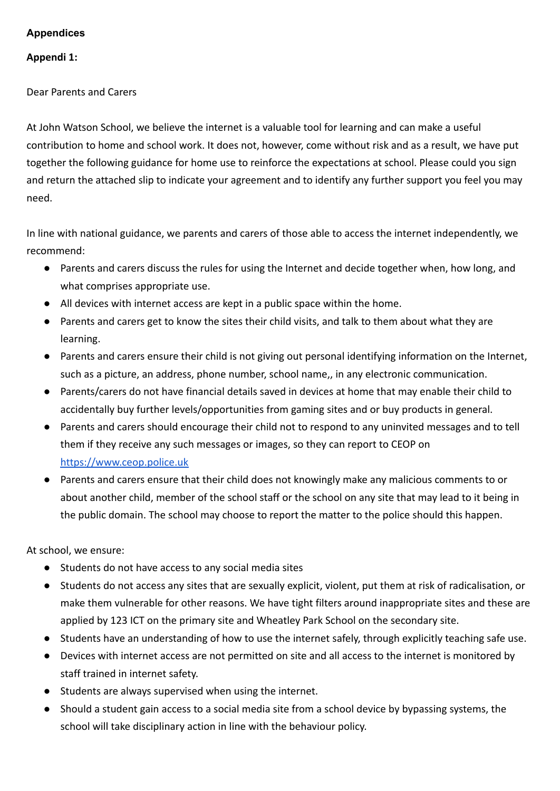#### **Appendices**

#### **Appendi 1:**

Dear Parents and Carers

At John Watson School, we believe the internet is a valuable tool for learning and can make a useful contribution to home and school work. It does not, however, come without risk and as a result, we have put together the following guidance for home use to reinforce the expectations at school. Please could you sign and return the attached slip to indicate your agreement and to identify any further support you feel you may need.

In line with national guidance, we parents and carers of those able to access the internet independently, we recommend:

- Parents and carers discuss the rules for using the Internet and decide together when, how long, and what comprises appropriate use.
- All devices with internet access are kept in a public space within the home.
- Parents and carers get to know the sites their child visits, and talk to them about what they are learning.
- Parents and carers ensure their child is not giving out personal identifying information on the Internet, such as a picture, an address, phone number, school name,, in any electronic communication.
- Parents/carers do not have financial details saved in devices at home that may enable their child to accidentally buy further levels/opportunities from gaming sites and or buy products in general.
- Parents and carers should encourage their child not to respond to any uninvited messages and to tell them if they receive any such messages or images, so they can report to CEOP on <https://www.ceop.police.uk>
- Parents and carers ensure that their child does not knowingly make any malicious comments to or about another child, member of the school staff or the school on any site that may lead to it being in the public domain. The school may choose to report the matter to the police should this happen.

At school, we ensure:

- Students do not have access to any social media sites
- Students do not access any sites that are sexually explicit, violent, put them at risk of radicalisation, or make them vulnerable for other reasons. We have tight filters around inappropriate sites and these are applied by 123 ICT on the primary site and Wheatley Park School on the secondary site.
- Students have an understanding of how to use the internet safely, through explicitly teaching safe use.
- Devices with internet access are not permitted on site and all access to the internet is monitored by staff trained in internet safety.
- Students are always supervised when using the internet.
- Should a student gain access to a social media site from a school device by bypassing systems, the school will take disciplinary action in line with the behaviour policy.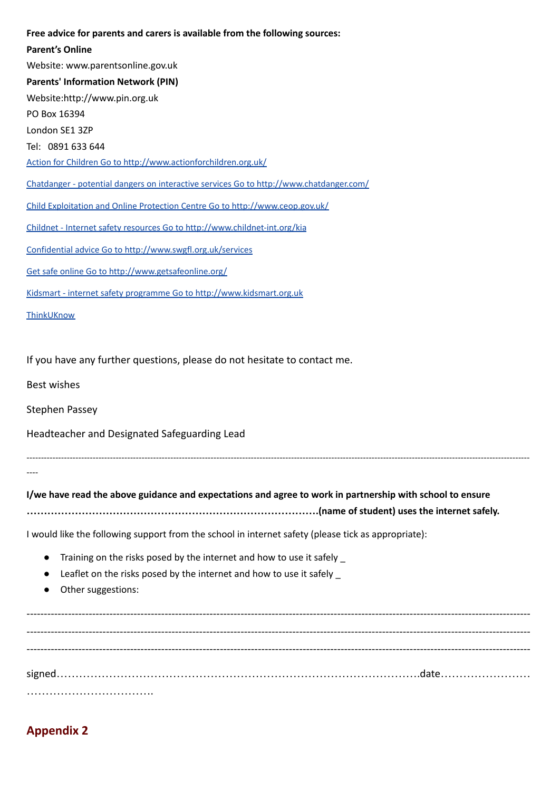#### **Free advice for parents and carers is available from the following sources:**

| <b>Parent's Online</b>                                                                                    |
|-----------------------------------------------------------------------------------------------------------|
| Website: www.parentsonline.gov.uk                                                                         |
| <b>Parents' Information Network (PIN)</b>                                                                 |
| Website:http://www.pin.org.uk                                                                             |
| PO Box 16394                                                                                              |
| London SE1 3ZP                                                                                            |
| Tel: 0891 633 644                                                                                         |
| Action for Children Go to http://www.actionforchildren.org.uk/                                            |
| Chatdanger - potential dangers on interactive services Go to http://www.chatdanger.com/                   |
| Child Exploitation and Online Protection Centre Go to http://www.ceop.gov.uk/                             |
| Childnet - Internet safety resources Go to http://www.childnet-int.org/kia                                |
| Confidential advice Go to http://www.swgfl.org.uk/services                                                |
| Get safe online Go to http://www.getsafeonline.org/                                                       |
| Kidsmart - internet safety programme Go to http://www.kidsmart.org.uk                                     |
| ThinkUKnow                                                                                                |
| If you have any further questions, please do not hesitate to contact me.<br><b>Best wishes</b>            |
| <b>Stephen Passey</b>                                                                                     |
| Headteacher and Designated Safeguarding Lead                                                              |
|                                                                                                           |
| I/we have read the above guidance and expectations and agree to work in partnership with school to ensure |
| I would like the following support from the school in internet safety (please tick as appropriate):       |
| Training on the risks posed by the internet and how to use it safely                                      |
| Leaflet on the risks posed by the internet and how to use it safely _                                     |
| Other suggestions:                                                                                        |
|                                                                                                           |
|                                                                                                           |
|                                                                                                           |
|                                                                                                           |

signed…………………………………………………………………………………….date…………………… …………………………….

## **Appendix 2**